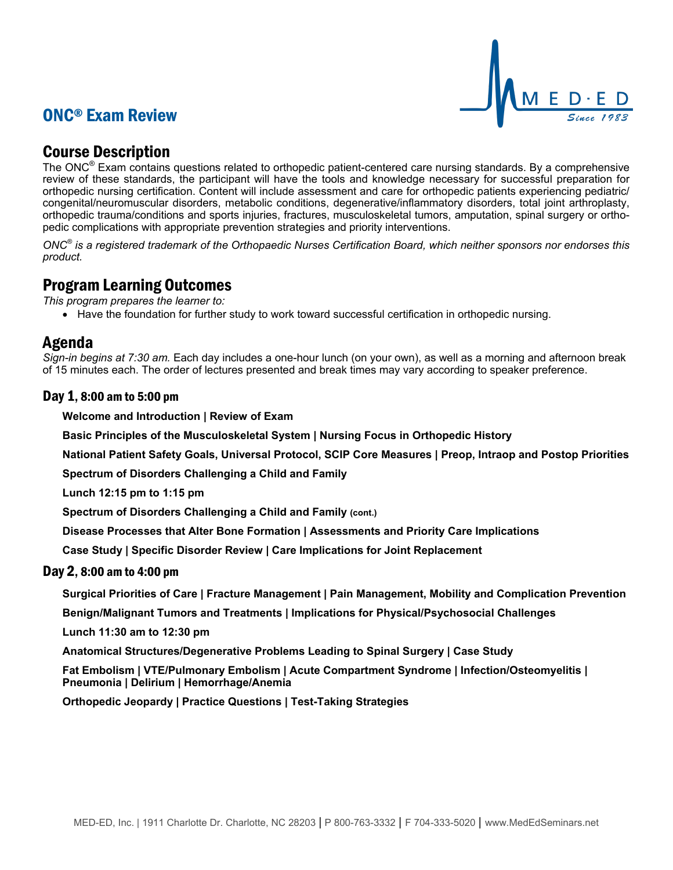# ONC® Exam Review



## Course Description

The ONC® Exam contains questions related to orthopedic patient-centered care nursing standards. By a comprehensive review of these standards, the participant will have the tools and knowledge necessary for successful preparation for orthopedic nursing certification. Content will include assessment and care for orthopedic patients experiencing pediatric/ congenital/neuromuscular disorders, metabolic conditions, degenerative/inflammatory disorders, total joint arthroplasty, orthopedic trauma/conditions and sports injuries, fractures, musculoskeletal tumors, amputation, spinal surgery or orthopedic complications with appropriate prevention strategies and priority interventions.

*ONC® is a registered trademark of the Orthopaedic Nurses Certification Board, which neither sponsors nor endorses this product.*

### Program Learning Outcomes

*This program prepares the learner to:*

• Have the foundation for further study to work toward successful certification in orthopedic nursing.

### Agenda

*Sign-in begins at 7:30 am.* Each day includes a one-hour lunch (on your own), as well as a morning and afternoon break of 15 minutes each. The order of lectures presented and break times may vary according to speaker preference.

#### Day 1, 8:00 am to 5:00 pm

**Welcome and Introduction | Review of Exam**

**Basic Principles of the Musculoskeletal System | Nursing Focus in Orthopedic History**

**National Patient Safety Goals, Universal Protocol, SCIP Core Measures | Preop, Intraop and Postop Priorities**

**Spectrum of Disorders Challenging a Child and Family**

**Lunch 12:15 pm to 1:15 pm**

**Spectrum of Disorders Challenging a Child and Family (cont.)**

**Disease Processes that Alter Bone Formation | Assessments and Priority Care Implications** 

**Case Study | Specific Disorder Review | Care Implications for Joint Replacement**

#### Day 2, 8:00 am to 4:00 pm

**Surgical Priorities of Care | Fracture Management | Pain Management, Mobility and Complication Prevention**

**Benign/Malignant Tumors and Treatments | Implications for Physical/Psychosocial Challenges**

**Lunch 11:30 am to 12:30 pm**

**Anatomical Structures/Degenerative Problems Leading to Spinal Surgery | Case Study**

**Fat Embolism | VTE/Pulmonary Embolism | Acute Compartment Syndrome | Infection/Osteomyelitis | Pneumonia | Delirium | Hemorrhage/Anemia**

**Orthopedic Jeopardy | Practice Questions | Test-Taking Strategies**